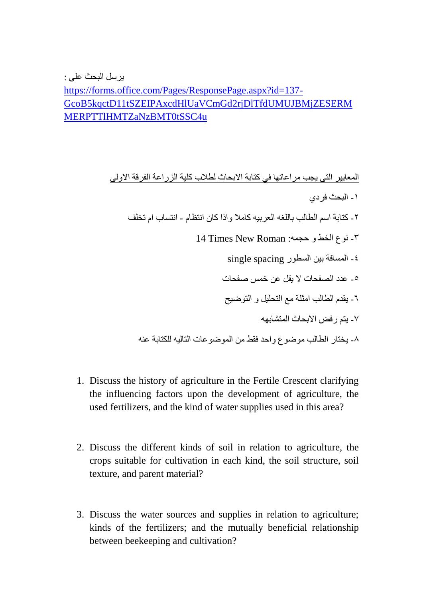https://forms.office.com/Pages/ResponsePage.aspx?id=137-GcoB5kgctD11tSZEIPAxcdHlUaVCmGd2rjDlTfdUMUJBMjZESERM MERPTTIHMTZaNzBMT0tSSC4u

> المعايير التي يجب مراعاتها في كتابة الابحاث لطلاب كلية الزراعة الفرقة الاولى ١ ـ البحث فر دي ٢ ـ كتابة اسم الطالب باللغه العر بيه كاملا و اذا كان انتظام - انتساب ام تخلف ٢- نوع الخط و حجمه: 14 Times New Roman ٤- المسافة بين السطور single spacing ٥- عدد الصفحات لا يقل عن خمس صفحات ٦- يقدم الطالب امثلة مع التحليل و التوضيح ٧- يتم ر فض الإبحاث المتشابهه ٨- بختار الطالب موضوع واحد فقط من الموضو عات التاليه للكتابة عنه

- 1. Discuss the history of agriculture in the Fertile Crescent clarifying the influencing factors upon the development of agriculture, the used fertilizers, and the kind of water supplies used in this area?
- 2. Discuss the different kinds of soil in relation to agriculture, the crops suitable for cultivation in each kind, the soil structure, soil texture, and parent material?
- 3. Discuss the water sources and supplies in relation to agriculture; kinds of the fertilizers; and the mutually beneficial relationship between beekeeping and cultivation?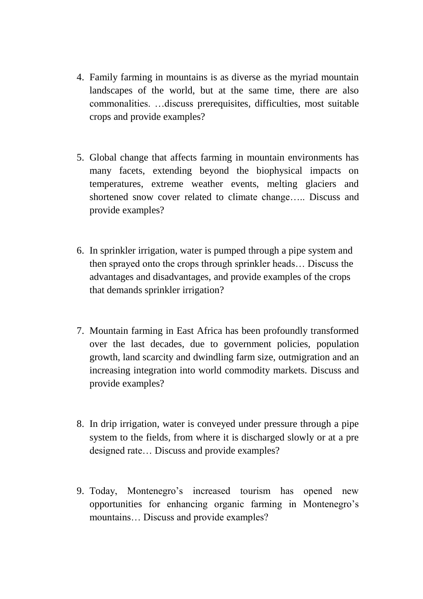- 4. Family farming in mountains is as diverse as the myriad mountain landscapes of the world, but at the same time, there are also commonalities. …discuss prerequisites, difficulties, most suitable crops and provide examples?
- 5. Global change that affects farming in mountain environments has many facets, extending beyond the biophysical impacts on temperatures, extreme weather events, melting glaciers and shortened snow cover related to climate change….. Discuss and provide examples?
- 6. In sprinkler irrigation, water is pumped through a pipe system and then sprayed onto the crops through sprinkler heads… Discuss the advantages and disadvantages, and provide examples of the crops that demands sprinkler irrigation?
- 7. Mountain farming in East Africa has been profoundly transformed over the last decades, due to government policies, population growth, land scarcity and dwindling farm size, outmigration and an increasing integration into world commodity markets. Discuss and provide examples?
- 8. In drip irrigation, water is conveyed under pressure through a pipe system to the fields, from where it is discharged slowly or at a pre designed rate… Discuss and provide examples?
- 9. Today, Montenegro's increased tourism has opened new opportunities for enhancing organic farming in Montenegro's mountains… Discuss and provide examples?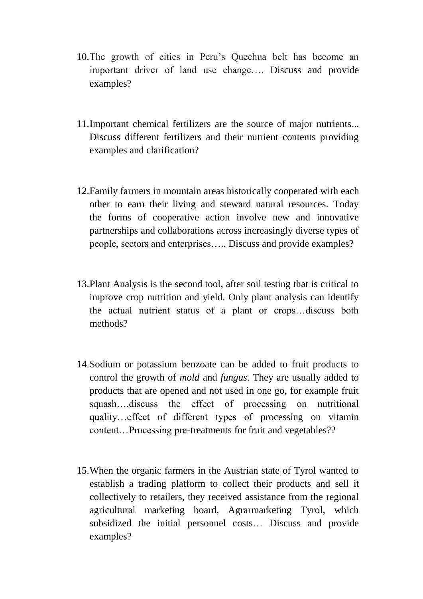- 10.The growth of cities in Peru's Quechua belt has become an important driver of land use change…. Discuss and provide examples?
- 11.Important chemical fertilizers are the source of major nutrients... Discuss different fertilizers and their nutrient contents providing examples and clarification?
- 12.Family farmers in mountain areas historically cooperated with each other to earn their living and steward natural resources. Today the forms of cooperative action involve new and innovative partnerships and collaborations across increasingly diverse types of people, sectors and enterprises….. Discuss and provide examples?
- 13.Plant Analysis is the second tool, after soil testing that is critical to improve crop nutrition and yield. Only plant analysis can identify the actual nutrient status of a plant or crops…discuss both methods?
- 14.Sodium or potassium benzoate can be added to fruit products to control the growth of *mold* and *fungus*. They are usually added to products that are opened and not used in one go, for example fruit squash….discuss the effect of processing on nutritional quality…effect of different types of processing on vitamin content…Processing pre-treatments for fruit and vegetables??
- 15.When the organic farmers in the Austrian state of Tyrol wanted to establish a trading platform to collect their products and sell it collectively to retailers, they received assistance from the regional agricultural marketing board, Agrarmarketing Tyrol, which subsidized the initial personnel costs… Discuss and provide examples?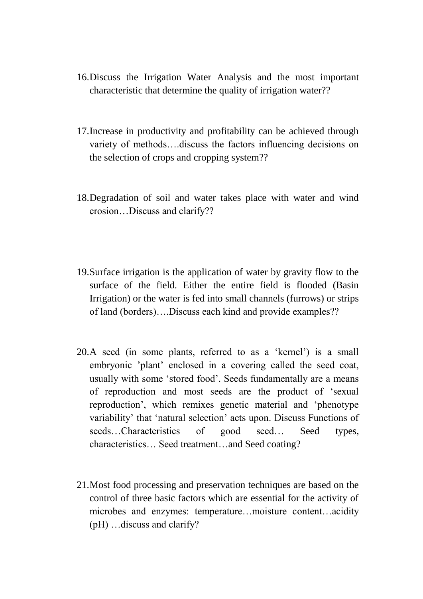- 16.Discuss the Irrigation Water Analysis and the most important characteristic that determine the quality of irrigation water??
- 17.Increase in productivity and profitability can be achieved through variety of methods….discuss the factors influencing decisions on the selection of crops and cropping system??
- 18.Degradation of soil and water takes place with water and wind erosion…Discuss and clarify??
- 19.Surface irrigation is the application of water by gravity flow to the surface of the field. Either the entire field is flooded (Basin Irrigation) or the water is fed into small channels (furrows) or strips of land (borders)….Discuss each kind and provide examples??
- 20.A seed (in some plants, referred to as a 'kernel') is a small embryonic 'plant' enclosed in a covering called the seed coat, usually with some 'stored food'. Seeds fundamentally are a means of reproduction and most seeds are the product of 'sexual reproduction', which remixes genetic material and 'phenotype variability' that 'natural selection' acts upon. Discuss Functions of seeds...Characteristics of good seed... Seed types, characteristics… Seed treatment…and Seed coating?
- 21.Most food processing and preservation techniques are based on the control of three basic factors which are essential for the activity of microbes and enzymes: temperature…moisture content…acidity (pH) …discuss and clarify?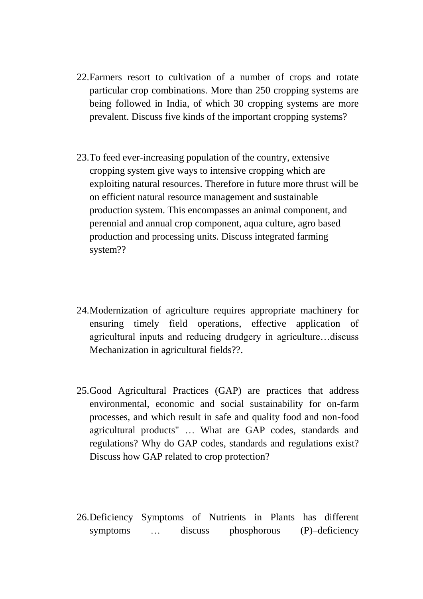- 22.Farmers resort to cultivation of a number of crops and rotate particular crop combinations. More than 250 cropping systems are being followed in India, of which 30 cropping systems are more prevalent. Discuss five kinds of the important cropping systems?
- 23.To feed ever-increasing population of the country, extensive cropping system give ways to intensive cropping which are exploiting natural resources. Therefore in future more thrust will be on efficient natural resource management and sustainable production system. This encompasses an animal component, and perennial and annual crop component, aqua culture, agro based production and processing units. Discuss integrated farming system??
- 24.Modernization of agriculture requires appropriate machinery for ensuring timely field operations, effective application of agricultural inputs and reducing drudgery in agriculture…discuss Mechanization in agricultural fields??.
- 25.Good Agricultural Practices (GAP) are practices that address environmental, economic and social sustainability for on-farm processes, and which result in safe and quality food and non-food agricultural products" … What are GAP codes, standards and regulations? Why do GAP codes, standards and regulations exist? Discuss how GAP related to crop protection?
- 26.Deficiency Symptoms of Nutrients in Plants has different symptoms … discuss phosphorous (P)–deficiency